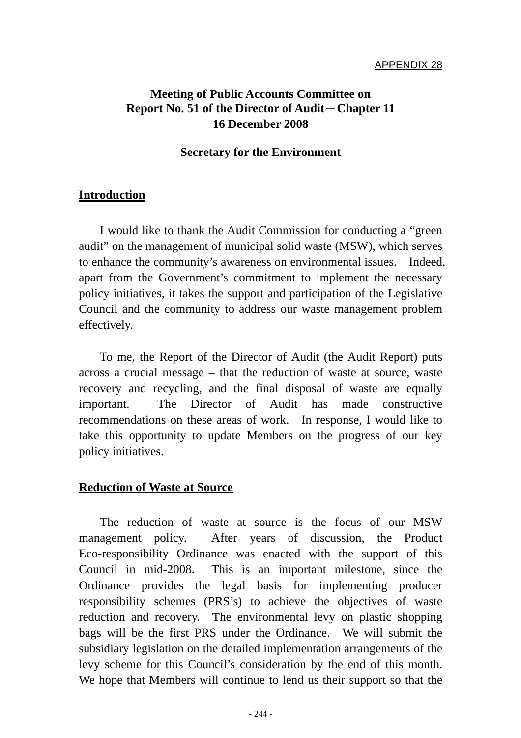# **Meeting of Public Accounts Committee on Report No. 51 of the Director of Audit**-**Chapter 11 16 December 2008**

#### **Secretary for the Environment**

#### **Introduction**

 I would like to thank the Audit Commission for conducting a "green audit" on the management of municipal solid waste (MSW), which serves to enhance the community's awareness on environmental issues. Indeed, apart from the Government's commitment to implement the necessary policy initiatives, it takes the support and participation of the Legislative Council and the community to address our waste management problem effectively.

 To me, the Report of the Director of Audit (the Audit Report) puts across a crucial message – that the reduction of waste at source, waste recovery and recycling, and the final disposal of waste are equally important. The Director of Audit has made constructive recommendations on these areas of work. In response, I would like to take this opportunity to update Members on the progress of our key policy initiatives.

#### **Reduction of Waste at Source**

 The reduction of waste at source is the focus of our MSW management policy. After years of discussion, the Product Eco-responsibility Ordinance was enacted with the support of this Council in mid-2008. This is an important milestone, since the Ordinance provides the legal basis for implementing producer responsibility schemes (PRS's) to achieve the objectives of waste reduction and recovery. The environmental levy on plastic shopping bags will be the first PRS under the Ordinance. We will submit the subsidiary legislation on the detailed implementation arrangements of the levy scheme for this Council's consideration by the end of this month. We hope that Members will continue to lend us their support so that the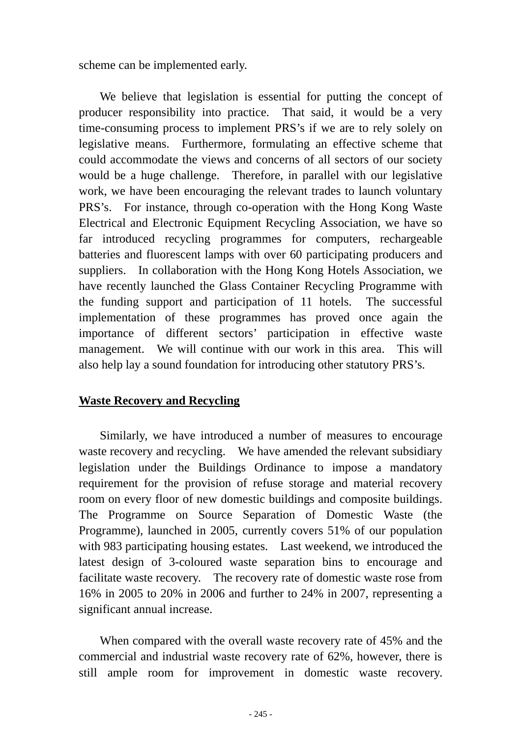scheme can be implemented early.

We believe that legislation is essential for putting the concept of producer responsibility into practice. That said, it would be a very time-consuming process to implement PRS's if we are to rely solely on legislative means. Furthermore, formulating an effective scheme that could accommodate the views and concerns of all sectors of our society would be a huge challenge. Therefore, in parallel with our legislative work, we have been encouraging the relevant trades to launch voluntary PRS's. For instance, through co-operation with the Hong Kong Waste Electrical and Electronic Equipment Recycling Association, we have so far introduced recycling programmes for computers, rechargeable batteries and fluorescent lamps with over 60 participating producers and suppliers. In collaboration with the Hong Kong Hotels Association, we have recently launched the Glass Container Recycling Programme with the funding support and participation of 11 hotels. The successful implementation of these programmes has proved once again the importance of different sectors' participation in effective waste management. We will continue with our work in this area. This will also help lay a sound foundation for introducing other statutory PRS's.

## **Waste Recovery and Recycling**

 Similarly, we have introduced a number of measures to encourage waste recovery and recycling. We have amended the relevant subsidiary legislation under the Buildings Ordinance to impose a mandatory requirement for the provision of refuse storage and material recovery room on every floor of new domestic buildings and composite buildings. The Programme on Source Separation of Domestic Waste (the Programme), launched in 2005, currently covers 51% of our population with 983 participating housing estates. Last weekend, we introduced the latest design of 3-coloured waste separation bins to encourage and facilitate waste recovery. The recovery rate of domestic waste rose from 16% in 2005 to 20% in 2006 and further to 24% in 2007, representing a significant annual increase.

 When compared with the overall waste recovery rate of 45% and the commercial and industrial waste recovery rate of 62%, however, there is still ample room for improvement in domestic waste recovery.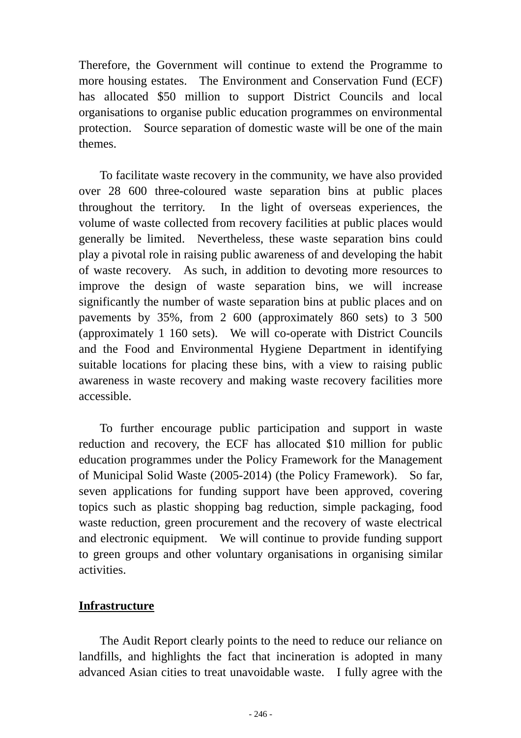Therefore, the Government will continue to extend the Programme to more housing estates. The Environment and Conservation Fund (ECF) has allocated \$50 million to support District Councils and local organisations to organise public education programmes on environmental protection. Source separation of domestic waste will be one of the main themes.

To facilitate waste recovery in the community, we have also provided over 28 600 three-coloured waste separation bins at public places throughout the territory. In the light of overseas experiences, the volume of waste collected from recovery facilities at public places would generally be limited. Nevertheless, these waste separation bins could play a pivotal role in raising public awareness of and developing the habit of waste recovery. As such, in addition to devoting more resources to improve the design of waste separation bins, we will increase significantly the number of waste separation bins at public places and on pavements by 35%, from 2 600 (approximately 860 sets) to 3 500 (approximately 1 160 sets). We will co-operate with District Councils and the Food and Environmental Hygiene Department in identifying suitable locations for placing these bins, with a view to raising public awareness in waste recovery and making waste recovery facilities more accessible.

 To further encourage public participation and support in waste reduction and recovery, the ECF has allocated \$10 million for public education programmes under the Policy Framework for the Management of Municipal Solid Waste (2005-2014) (the Policy Framework). So far, seven applications for funding support have been approved, covering topics such as plastic shopping bag reduction, simple packaging, food waste reduction, green procurement and the recovery of waste electrical and electronic equipment. We will continue to provide funding support to green groups and other voluntary organisations in organising similar activities.

## **Infrastructure**

 The Audit Report clearly points to the need to reduce our reliance on landfills, and highlights the fact that incineration is adopted in many advanced Asian cities to treat unavoidable waste. I fully agree with the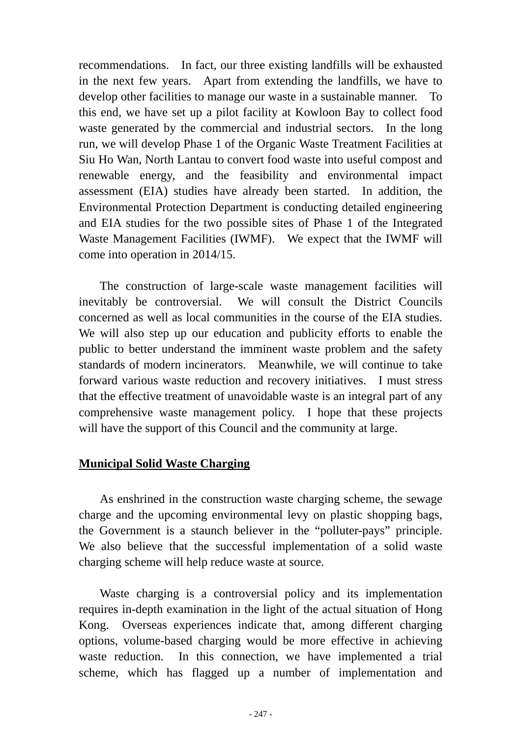recommendations. In fact, our three existing landfills will be exhausted in the next few years. Apart from extending the landfills, we have to develop other facilities to manage our waste in a sustainable manner. To this end, we have set up a pilot facility at Kowloon Bay to collect food waste generated by the commercial and industrial sectors. In the long run, we will develop Phase 1 of the Organic Waste Treatment Facilities at Siu Ho Wan, North Lantau to convert food waste into useful compost and renewable energy, and the feasibility and environmental impact assessment (EIA) studies have already been started. In addition, the Environmental Protection Department is conducting detailed engineering and EIA studies for the two possible sites of Phase 1 of the Integrated Waste Management Facilities (IWMF). We expect that the IWMF will come into operation in 2014/15.

 The construction of large-scale waste management facilities will inevitably be controversial. We will consult the District Councils concerned as well as local communities in the course of the EIA studies. We will also step up our education and publicity efforts to enable the public to better understand the imminent waste problem and the safety standards of modern incinerators. Meanwhile, we will continue to take forward various waste reduction and recovery initiatives. I must stress that the effective treatment of unavoidable waste is an integral part of any comprehensive waste management policy. I hope that these projects will have the support of this Council and the community at large.

## **Municipal Solid Waste Charging**

 As enshrined in the construction waste charging scheme, the sewage charge and the upcoming environmental levy on plastic shopping bags, the Government is a staunch believer in the "polluter-pays" principle. We also believe that the successful implementation of a solid waste charging scheme will help reduce waste at source.

 Waste charging is a controversial policy and its implementation requires in-depth examination in the light of the actual situation of Hong Kong. Overseas experiences indicate that, among different charging options, volume-based charging would be more effective in achieving waste reduction. In this connection, we have implemented a trial scheme, which has flagged up a number of implementation and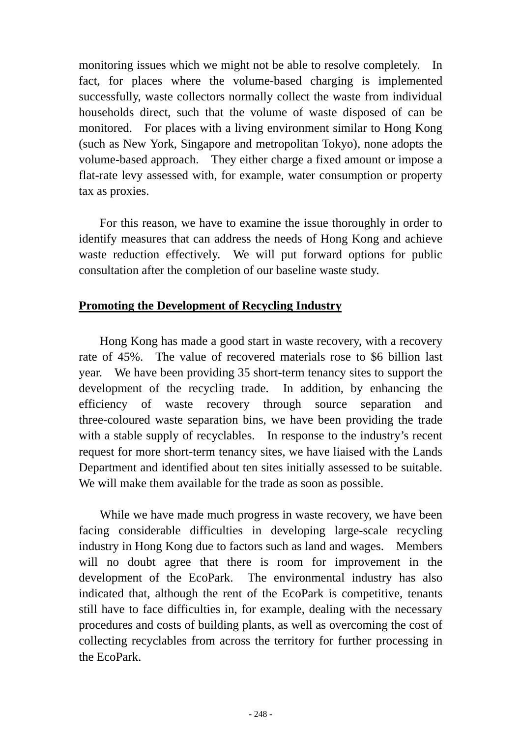monitoring issues which we might not be able to resolve completely. In fact, for places where the volume-based charging is implemented successfully, waste collectors normally collect the waste from individual households direct, such that the volume of waste disposed of can be monitored. For places with a living environment similar to Hong Kong (such as New York, Singapore and metropolitan Tokyo), none adopts the volume-based approach. They either charge a fixed amount or impose a flat-rate levy assessed with, for example, water consumption or property tax as proxies.

 For this reason, we have to examine the issue thoroughly in order to identify measures that can address the needs of Hong Kong and achieve waste reduction effectively. We will put forward options for public consultation after the completion of our baseline waste study.

#### **Promoting the Development of Recycling Industry**

 Hong Kong has made a good start in waste recovery, with a recovery rate of 45%. The value of recovered materials rose to \$6 billion last year. We have been providing 35 short-term tenancy sites to support the development of the recycling trade. In addition, by enhancing the efficiency of waste recovery through source separation and three-coloured waste separation bins, we have been providing the trade with a stable supply of recyclables. In response to the industry's recent request for more short-term tenancy sites, we have liaised with the Lands Department and identified about ten sites initially assessed to be suitable. We will make them available for the trade as soon as possible.

 While we have made much progress in waste recovery, we have been facing considerable difficulties in developing large-scale recycling industry in Hong Kong due to factors such as land and wages. Members will no doubt agree that there is room for improvement in the development of the EcoPark. The environmental industry has also indicated that, although the rent of the EcoPark is competitive, tenants still have to face difficulties in, for example, dealing with the necessary procedures and costs of building plants, as well as overcoming the cost of collecting recyclables from across the territory for further processing in the EcoPark.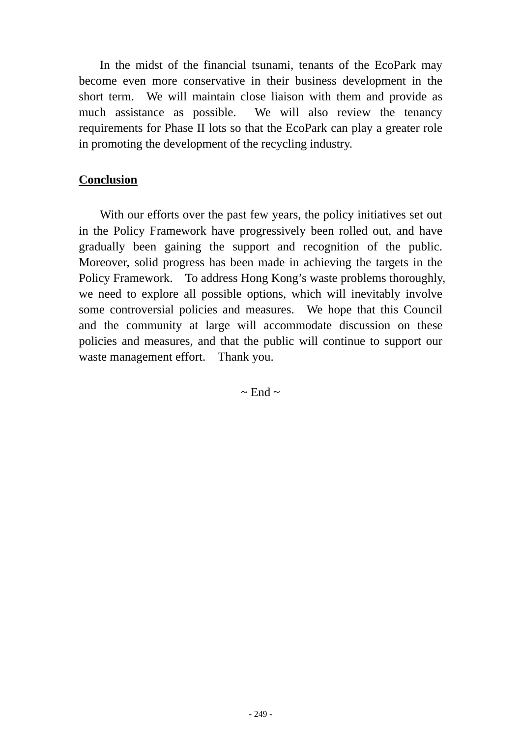In the midst of the financial tsunami, tenants of the EcoPark may become even more conservative in their business development in the short term. We will maintain close liaison with them and provide as much assistance as possible. We will also review the tenancy requirements for Phase II lots so that the EcoPark can play a greater role in promoting the development of the recycling industry.

## **Conclusion**

 With our efforts over the past few years, the policy initiatives set out in the Policy Framework have progressively been rolled out, and have gradually been gaining the support and recognition of the public. Moreover, solid progress has been made in achieving the targets in the Policy Framework. To address Hong Kong's waste problems thoroughly, we need to explore all possible options, which will inevitably involve some controversial policies and measures. We hope that this Council and the community at large will accommodate discussion on these policies and measures, and that the public will continue to support our waste management effort. Thank you.

 $\sim$  End  $\sim$